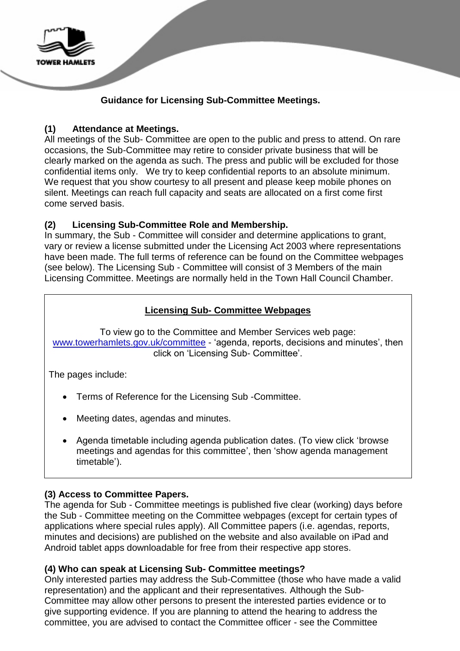

# **Guidance for Licensing Sub-Committee Meetings.**

## **(1) Attendance at Meetings.**

All meetings of the Sub- Committee are open to the public and press to attend. On rare occasions, the Sub-Committee may retire to consider private business that will be clearly marked on the agenda as such. The press and public will be excluded for those confidential items only. We try to keep confidential reports to an absolute minimum. We request that you show courtesy to all present and please keep mobile phones on silent. Meetings can reach full capacity and seats are allocated on a first come first come served basis.

# **(2) Licensing Sub-Committee Role and Membership.**

In summary, the Sub - Committee will consider and determine applications to grant, vary or review a license submitted under the Licensing Act 2003 where representations have been made. The full terms of reference can be found on the Committee webpages (see below). The Licensing Sub - Committee will consist of 3 Members of the main Licensing Committee. Meetings are normally held in the Town Hall Council Chamber.

# **Licensing Sub- Committee Webpages**

To view go to the Committee and Member Services web page: [www.towerhamlets.gov.uk/committee](http://www.towerhamlets.gov.uk/committee) - 'agenda, reports, decisions and minutes', then click on 'Licensing Sub- Committee'.

The pages include:

- Terms of Reference for the Licensing Sub -Committee.
- Meeting dates, agendas and minutes.
- Agenda timetable including agenda publication dates. (To view click ['browse](http://moderngov.towerhamlets.gov.uk/ieListMeetings.aspx?CommitteeId=312)  [meetings and agendas for this committee'](http://moderngov.towerhamlets.gov.uk/ieListMeetings.aspx?CommitteeId=312), then ['show agenda management](http://moderngov.towerhamlets.gov.uk/mgAgendaManagementTimetable.aspx?RP=312)  [timetable'](http://moderngov.towerhamlets.gov.uk/mgAgendaManagementTimetable.aspx?RP=312)).

# **(3) Access to Committee Papers.**

The agenda for Sub - Committee meetings is published five clear (working) days before the Sub - Committee meeting on the Committee webpages (except for certain types of applications where special rules apply). All Committee papers (i.e. agendas, reports, minutes and decisions) are published on the website and also available on iPad and Android tablet apps downloadable for free from their respective app stores.

### **(4) Who can speak at Licensing Sub- Committee meetings?**

Only interested parties may address the Sub-Committee (those who have made a valid representation) and the applicant and their representatives. Although the Sub-Committee may allow other persons to present the interested parties evidence or to give supporting evidence. If you are planning to attend the hearing to address the committee, you are advised to contact the Committee officer - see the Committee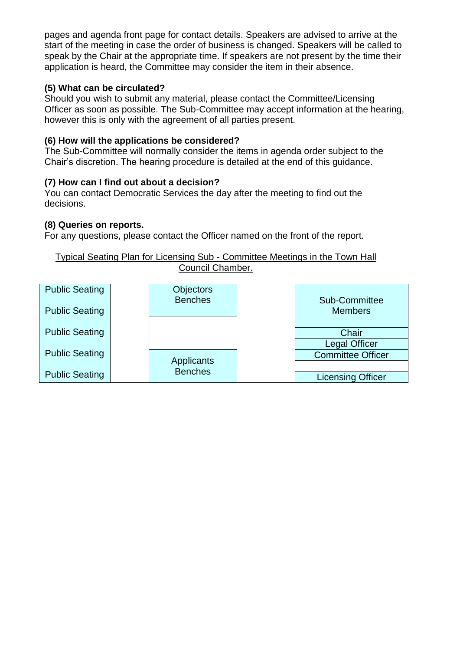pages and agenda front page for contact details. Speakers are advised to arrive at the start of the meeting in case the order of business is changed. Speakers will be called to speak by the Chair at the appropriate time. If speakers are not present by the time their application is heard, the Committee may consider the item in their absence.

### **(5) What can be circulated?**

Should you wish to submit any material, please contact the Committee/Licensing Officer as soon as possible. The Sub-Committee may accept information at the hearing, however this is only with the agreement of all parties present.

## **(6) How will the applications be considered?**

The Sub-Committee will normally consider the items in agenda order subject to the Chair's discretion. The hearing procedure is detailed at the end of this guidance.

### **(7) How can I find out about a decision?**

You can contact Democratic Services the day after the meeting to find out the decisions.

### **(8) Queries on reports.**

For any questions, please contact the Officer named on the front of the report.

#### Typical Seating Plan for Licensing Sub - Committee Meetings in the Town Hall Council Chamber.

| <b>Public Seating</b> | <b>Objectors</b><br><b>Benches</b> | Sub-Committee            |
|-----------------------|------------------------------------|--------------------------|
| <b>Public Seating</b> |                                    | <b>Members</b>           |
| <b>Public Seating</b> |                                    | Chair                    |
|                       |                                    | <b>Legal Officer</b>     |
| <b>Public Seating</b> | Applicants                         | <b>Committee Officer</b> |
|                       | <b>Benches</b>                     |                          |
| <b>Public Seating</b> |                                    | <b>Licensing Officer</b> |